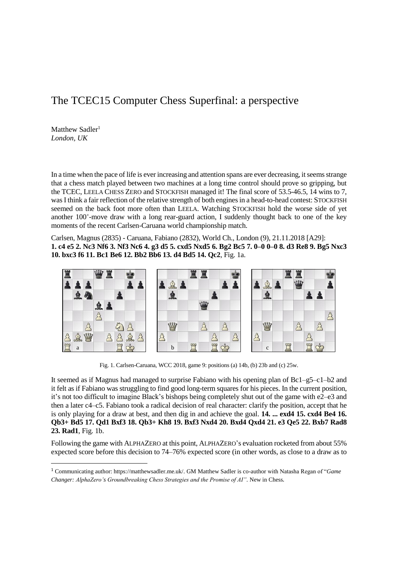## The TCEC15 Computer Chess Superfinal: a perspective

Matthew Sadler<sup>1</sup> *London, UK*

 $\overline{\phantom{a}}$ 

In a time when the pace of life is ever increasing and attention spans are ever decreasing, it seems strange that a chess match played between two machines at a long time control should prove so gripping, but the TCEC, LEELA CHESS ZERO and STOCKFISH managed it! The final score of 53.5-46.5, 14 wins to 7, was I think a fair reflection of the relative strength of both engines in a head-to-head contest: STOCKFISH seemed on the back foot more often than LEELA. Watching STOCKFISH hold the worse side of yet another 100<sup>+</sup>-move draw with a long rear-guard action, I suddenly thought back to one of the key moments of the recent Carlsen-Caruana world championship match.

Carlsen, Magnus (2835) - Caruana, Fabiano (2832), World Ch., London (9), 21.11.2018 [A29]: **1. c4 e5 2. Nc3 Nf6 3. Nf3 Nc6 4. g3 d5 5. cxd5 Nxd5 6. Bg2 Bc5 7. 0–0 0–0 8. d3 Re8 9. Bg5 Nxc3 10. bxc3 f6 11. Bc1 Be6 12. Bb2 Bb6 13. d4 Bd5 14. Qc2**, Fig. 1a.



Fig. 1. Carlsen-Caruana, WCC 2018, game 9: positions (a) 14b, (b) 23b and (c) 25w.

It seemed as if Magnus had managed to surprise Fabiano with his opening plan of Bc1–g5–c1–b2 and it felt as if Fabiano was struggling to find good long-term squares for his pieces. In the current position, it's not too difficult to imagine Black's bishops being completely shut out of the game with e2–e3 and then a later c4–c5. Fabiano took a radical decision of real character: clarify the position, accept that he is only playing for a draw at best, and then dig in and achieve the goal. **14. ... exd4 15. cxd4 Be4 16. Qb3+ Bd5 17. Qd1 Bxf3 18. Qb3+ Kh8 19. Bxf3 Nxd4 20. Bxd4 Qxd4 21. e3 Qe5 22. Bxb7 Rad8 23. Rad1**, Fig. 1b.

Following the game with ALPHAZERO at this point, ALPHAZERO's evaluation rocketed from about 55% expected score before this decision to 74–76% expected score (in other words, as close to a draw as to

<sup>1</sup> Communicating author: [https://matthewsadler.me.uk/.](https://matthewsadler.me.uk/) GM Matthew Sadler is co-author with Natasha Regan of "*Game Changer: AlphaZero's Groundbreaking Chess Strategies and the Promise of AI".* New in Chess.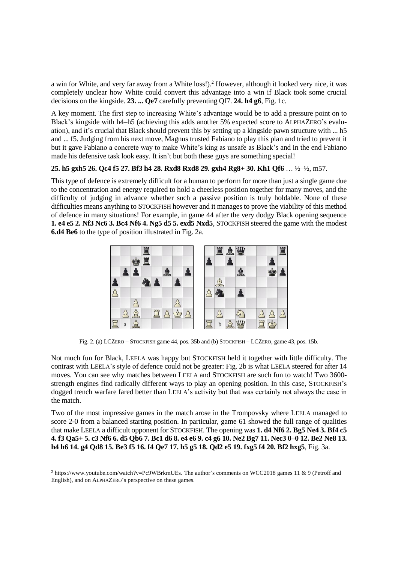a win for White, and very far away from a White loss!).<sup>2</sup> However, although it looked very nice, it was completely unclear how White could convert this advantage into a win if Black took some crucial decisions on the kingside. **23. ... Qe7** carefully preventing Qf7. **24. h4 g6**, Fig. 1c.

A key moment. The first step to increasing White's advantage would be to add a pressure point on to Black's kingside with h4–h5 (achieving this adds another 5% expected score to ALPHAZERO's evaluation), and it's crucial that Black should prevent this by setting up a kingside pawn structure with ... h5 and ... f5. Judging from his next move, Magnus trusted Fabiano to play this plan and tried to prevent it but it gave Fabiano a concrete way to make White's king as unsafe as Black's and in the end Fabiano made his defensive task look easy. It isn't but both these guys are something special!

## **25. h5 gxh5 26. Qc4 f5 27. Bf3 h4 28. Rxd8 Rxd8 29. gxh4 Rg8+ 30. Kh1 Qf6** … ½–½, m57.

This type of defence is extremely difficult for a human to perform for more than just a single game due to the concentration and energy required to hold a cheerless position together for many moves, and the difficulty of judging in advance whether such a passive position is truly holdable. None of these difficulties means anything to STOCKFISH however and it manages to prove the viability of this method of defence in many situations! For example, in game 44 after the very dodgy Black opening sequence **1. e4 e5 2. Nf3 Nc6 3. Bc4 Nf6 4. Ng5 d5 5. exd5 Nxd5**, STOCKFISH steered the game with the modest **6.d4 Be6** to the type of position illustrated in Fig. 2a.



Fig. 2. (a) LCZERO – STOCKFISH game 44, pos. 35b and (b) STOCKFISH – LCZERO, game 43, pos. 15b.

Not much fun for Black, LEELA was happy but STOCKFISH held it together with little difficulty. The contrast with LEELA's style of defence could not be greater: Fig. 2b is what LEELA steered for after 14 moves. You can see why matches between LEELA and STOCKFISH are such fun to watch! Two 3600 strength engines find radically different ways to play an opening position. In this case, STOCKFISH's dogged trench warfare fared better than LEELA's activity but that was certainly not always the case in the match.

Two of the most impressive games in the match arose in the Trompovsky where LEELA managed to score 2-0 from a balanced starting position. In particular, game 61 showed the full range of qualities that make LEELA a difficult opponent for STOCKFISH. The opening was **1. d4 Nf6 2. Bg5 Ne4 3. Bf4 c5 4. f3 Qa5+ 5. c3 Nf6 6. d5 Qb6 7. Bc1 d6 8. e4 e6 9. c4 g6 10. Ne2 Bg7 11. Nec3 0–0 12. Be2 Ne8 13. h4 h6 14. g4 Qd8 15. Be3 f5 16. f4 Qe7 17. h5 g5 18. Qd2 e5 19. fxg5 f4 20. Bf2 hxg5**, Fig. 3a.

 $\overline{\phantom{a}}$ 

<sup>2</sup> [https://www.youtube.com/watch?v=Pc9WBrkmUEs.](https://www.youtube.com/watch?v=Pc9WBrkmUEs) The author's comments on WCC2018 games 11 & 9 (Petroff and English), and on ALPHAZERO's perspective on these games.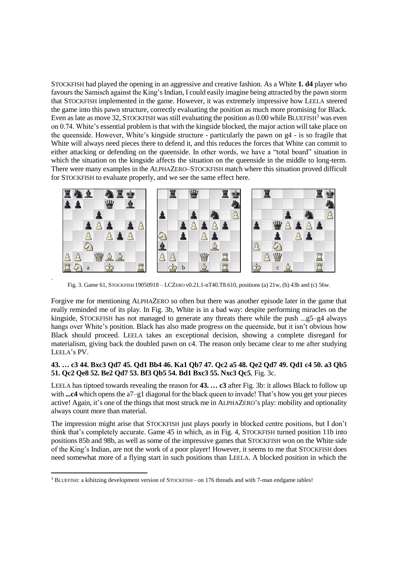STOCKFISH had played the opening in an aggressive and creative fashion. As a White **1. d4** player who favours the Samisch against the King's Indian, I could easily imagine being attracted by the pawn storm that STOCKFISH implemented in the game. However, it was extremely impressive how LEELA steered the game into this pawn structure, correctly evaluating the position as much more promising for Black. Even as late as move 32, STOCKFISH was still evaluating the position as  $0.00$  while BLUEFISH<sup>3</sup> was even on 0.74. White's essential problem is that with the kingside blocked, the major action will take place on the queenside. However, White's kingside structure - particularly the pawn on g4 - is so fragile that White will always need pieces there to defend it, and this reduces the forces that White can commit to either attacking or defending on the queenside. In other words, we have a "total board" situation in which the situation on the kingside affects the situation on the queenside in the middle to long-term. There were many examples in the ALPHAZERO–STOCKFISH match where this situation proved difficult for STOCKFISH to evaluate properly, and we see the same effect here.



Fig. 3. Game 61, STOCKFISH 19050918 – LCZERO v0.21.1-nT40.T8.610, positions (a) 21w, (b) 43b and (c) 56w.

.

Forgive me for mentioning ALPHAZERO so often but there was another episode later in the game that really reminded me of its play. In Fig. 3b, White is in a bad way: despite performing miracles on the kingside, STOCKFISH has not managed to generate any threats there while the push ...g5–g4 always hangs over White's position. Black has also made progress on the queenside, but it isn't obvious how Black should proceed. LEELA takes an exceptional decision, showing a complete disregard for materialism, giving back the doubled pawn on c4. The reason only became clear to me after studying LEELA's PV.

## **43. … c3 44. Bxc3 Qd7 45. Qd1 Bb4 46. Ka1 Qb7 47. Qc2 a5 48. Qe2 Qd7 49. Qd1 c4 50. a3 Qb5 51. Qc2 Qe8 52. Be2 Qd7 53. Bf3 Qb5 54. Bd1 Bxc3 55. Nxc3 Qc5**, Fig. 3c.

LEELA has tiptoed towards revealing the reason for **43. … c3** after Fig. 3b: it allows Black to follow up with **...c4** which opens the a7–g1 diagonal for the black queen to invade! That's how you get your pieces active! Again, it's one of the things that most struck me in ALPHAZERO's play: mobility and optionality always count more than material.

The impression might arise that STOCKFISH just plays poorly in blocked centre positions, but I don't think that's completely accurate. Game 45 in which, as in Fig. 4, STOCKFISH turned position 11b into positions 85b and 98b, as well as some of the impressive games that STOCKFISH won on the White side of the King's Indian, are not the work of a poor player! However, it seems to me that STOCKFISH does need somewhat more of a flying start in such positions than LEELA. A blocked position in which the

 $\overline{\phantom{a}}$ <sup>3</sup> BLUEFISH: a kibitzing development version of STOCKFISH - on 176 threads and with 7-man endgame tables!